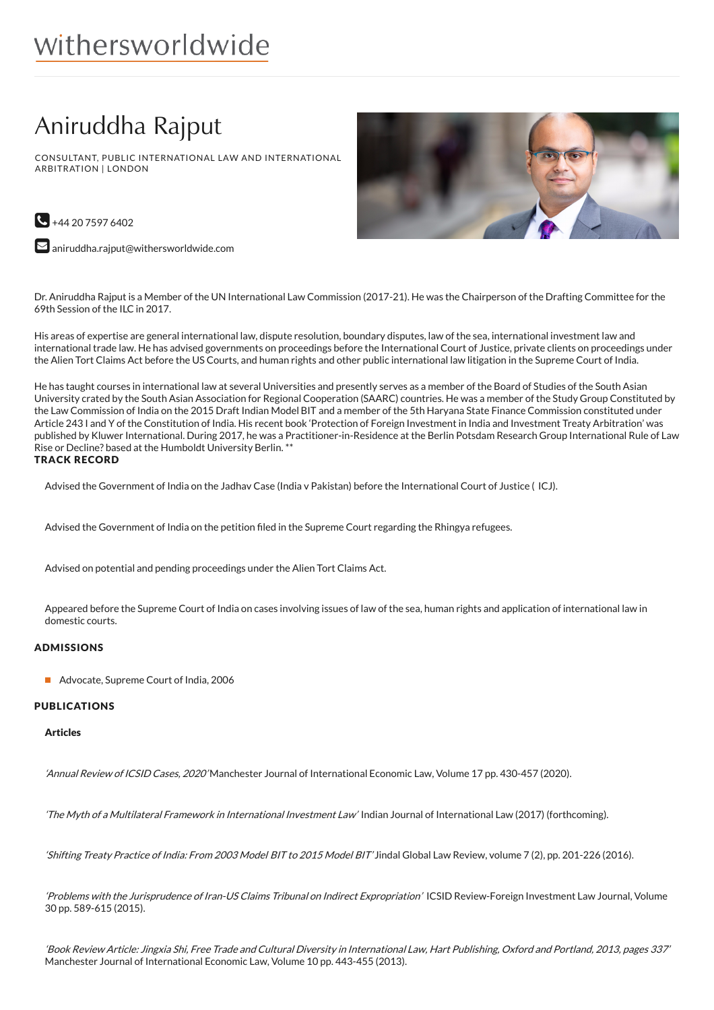# withersworldwide

## Aniruddha Rajput

CONSULTANT, PUBLIC INTERNATIONAL LAW AND INTERNATIONAL ARBITRATION | LONDON





 $\blacktriangleright$  [aniruddha.rajput@withersworldwide.com](mailto:aniruddha.rajput@withersworldwide.com?subject=Website Enquiry - Profile Page)

Dr. Aniruddha Rajput is a Member of the UN International Law Commission (2017-21). He was the Chairperson of the Drafting Committee for the 69th Session of the ILC in 2017.

His areas of expertise are general international law, dispute resolution, boundary disputes, law of the sea, international investment law and international trade law. He has advised governments on proceedings before the International Court of Justice, private clients on proceedings under the Alien Tort Claims Act before the US Courts, and human rights and other public international law litigation in the Supreme Court of India.

He has taught courses in international law at several Universities and presently serves as a member of the Board of Studies of the South Asian University crated by the South Asian Association for Regional Cooperation (SAARC) countries. He was a member of the Study Group Constituted by the Law Commission of India on the 2015 Draft Indian Model BIT and a member of the 5th Haryana State Finance Commission constituted under Article 243 I and Y of the Constitution of India. His recent book 'Protection of Foreign Investment in India and Investment Treaty Arbitration' was published by Kluwer International. During 2017, he was a Practitioner-in-Residence at the Berlin Potsdam Research Group International Rule of Law - Rise or Decline? based at the Humboldt University Berlin.\*\* TRACK RECORD

Advised the Government of India on the Jadhav Case (India v Pakistan) before the International Court of Justice ( ICJ).

Advised the Government of India on the petition filed in the Supreme Court regarding the Rhingya refugees.

Advised on potential and pending proceedings under the Alien Tort Claims Act.

Appeared before the Supreme Court of India on cases involving issues of law of the sea, human rights and application of international law in domestic courts.

## ADMISSIONS

Advocate, Supreme Court of India, 2006

## PUBLICATIONS

## **Articles**

'Annual Review of ICSID Cases, 2020' Manchester Journal of International Economic Law, Volume 17 pp. 430-457 (2020).

'The Myth of <sup>a</sup> Multilateral Framework in International Investment Law' Indian Journal of International Law (2017) (forthcoming).

'Shifting Treaty Practice of India: From 2003 Model BIT to 2015 Model BIT' Jindal Global Law Review, volume 7 (2), pp. 201-226 (2016).

'Problems with the Jurisprudence of Iran-US Claims Tribunal on Indirect Expropriation' ICSID Review-Foreign Investment Law Journal, Volume 30 pp. 589-615 (2015).

'Book Review Article: Jingxia Shi, Free Trade and Cultural Diversity in International Law, Hart Publishing, Oxford and Portland, 2013, pages 337' Manchester Journal of International Economic Law, Volume 10 pp. 443-455 (2013).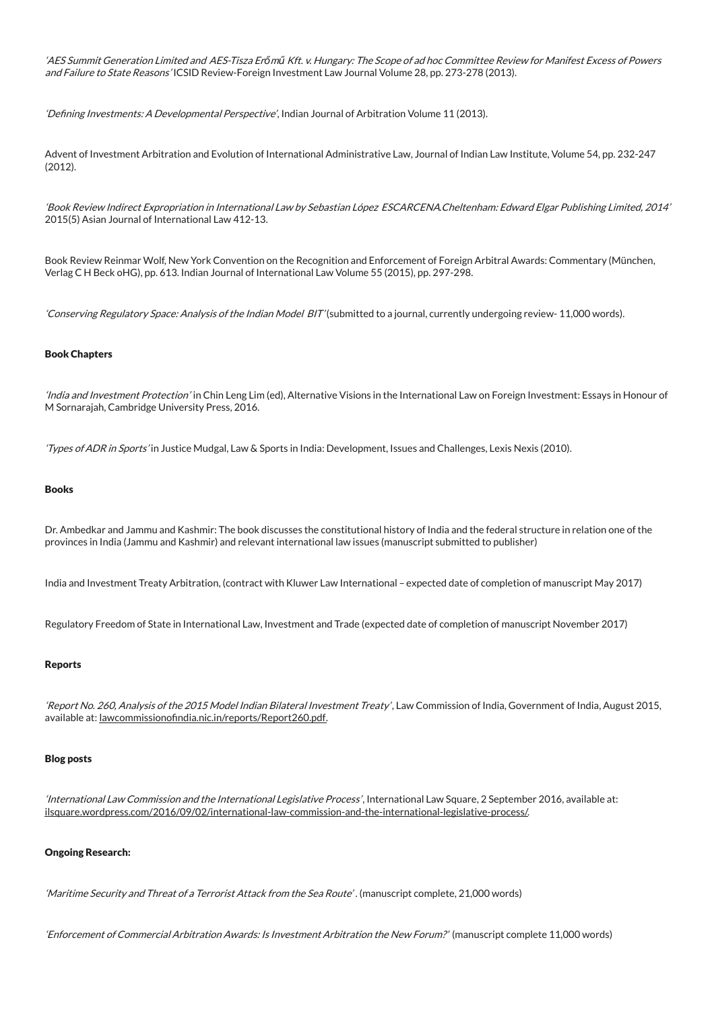'AES Summit Generation Limited and AES-Tisza Erőmű Kft. v. Hungary: The Scope of ad hoc Committee Review for Manifest Excess of Powers and Failure to State Reasons' ICSID Review-Foreign Investment Law Journal Volume 28, pp. 273-278 (2013).

'Defining Investments: A Developmental Perspective', Indian Journal of Arbitration Volume 11 (2013).

Advent of Investment Arbitration and Evolution of International Administrative Law, Journal of Indian Law Institute, Volume 54, pp. 232-247 (2012).

'Book Review Indirect Expropriation in International Law by Sebastian López ESCARCENA.Cheltenham: Edward Elgar Publishing Limited, 2014' 2015(5) Asian Journal of International Law 412-13.

Book Review Reinmar Wolf, New York Convention on the Recognition and Enforcement of Foreign Arbitral Awards: Commentary (München, Verlag C H Beck oHG), pp. 613. Indian Journal of International Law Volume 55 (2015), pp. 297-298.

'Conserving Regulatory Space: Analysis of the Indian Model BIT' (submitted to a journal, currently undergoing review- 11,000 words).

#### Book Chapters

'India and Investment Protection' in Chin Leng Lim (ed), Alternative Visions in the International Law on Foreign Investment: Essays in Honour of M Sornarajah, Cambridge University Press, 2016.

'Types ofADR in Sports' in Justice Mudgal, Law & Sports in India: Development, Issues and Challenges, Lexis Nexis (2010).

#### Books

Dr. Ambedkar and Jammu and Kashmir: The book discusses the constitutional history of India and the federal structure in relation one of the provinces in India (Jammu and Kashmir) and relevant international law issues (manuscript submitted to publisher)

India and Investment Treaty Arbitration, (contract with Kluwer Law International – expected date of completion of manuscript May 2017)

Regulatory Freedom of State in International Law, Investment and Trade (expected date of completion of manuscript November 2017)

#### Reports

'Report No. 260, Analysis of the 2015 Model Indian Bilateral Investment Treaty' , Law Commission of India, Government of India, August 2015, available at: lawcommissionofindia.nic.in/reports/Report260.pdf.

#### Blog posts

'International Law Commission and the International Legislative Process', International Law Square, 2 September 2016, available at: [ilsquare.wordpress.com/2016/09/02/international-law-commission-and-the-international-legislative-process/](https://ilsquare.wordpress.com/2016/09/02/international-law-commission-and-the-international-legislative-process/).

#### Ongoing Research:

'Maritime Security and Threat of <sup>a</sup> Terrorist Attack from the Sea Route' . (manuscript complete, 21,000 words)

'Enforcement of Commercial Arbitration Awards: Is Investment Arbitration the New Forum?' (manuscript complete 11,000 words)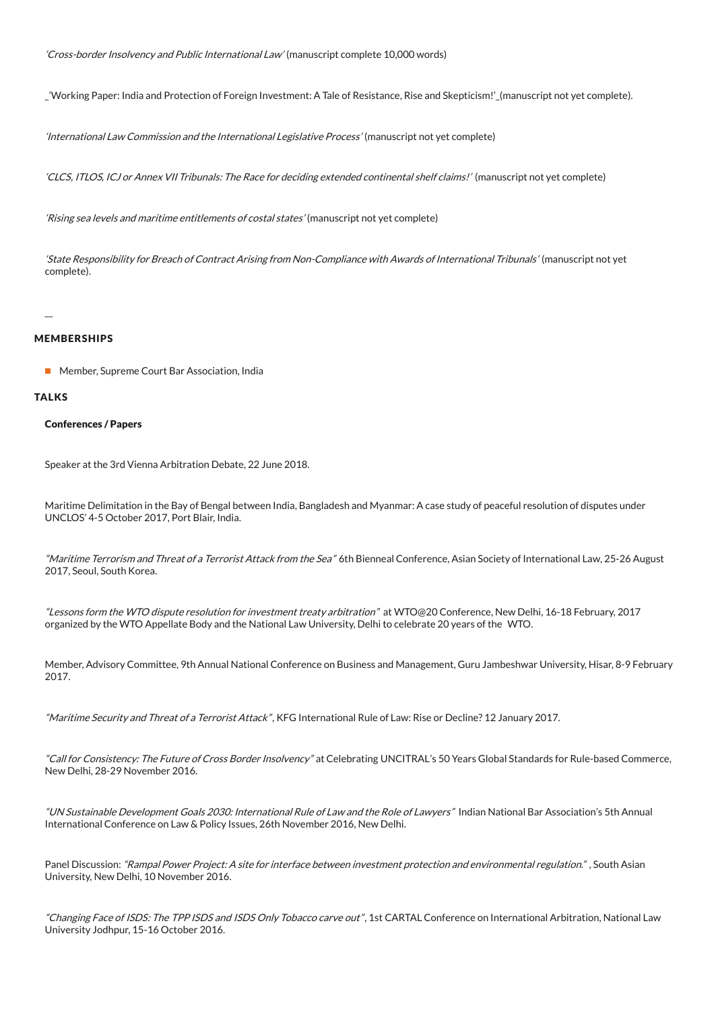'Cross-border Insolvency and Public International Law' (manuscript complete 10,000 words)

\_'Working Paper: India and Protection of Foreign Investment: A Tale of Resistance, Rise and Skepticism!'\_(manuscript not yet complete).

'International Law Commission and the International Legislative Process' (manuscript not yet complete)

'CLCS, ITLOS, ICJ or Annex VII Tribunals: The Race for deciding extended continental shelf claims!' (manuscript not yet complete)

'Rising sea levels and maritime entitlements of costal states' (manuscript not yet complete)

'State Responsibility for Breach of Contract Arising from Non-Compliance with Awards of International Tribunals' (manuscript not yet complete).

MEMBERSHIPS

■ Member, Supreme Court Bar Association, India

#### **TALKS**

 $\overline{a}$ 

## Conferences / Papers

Speaker at the 3rd Vienna Arbitration Debate, 22 June 2018.

Maritime Delimitation in the Bay of Bengal between India, Bangladesh and Myanmar: A case study of peaceful resolution of disputes under UNCLOS' 4-5 October 2017, Port Blair, India.

"Maritime Terrorism and Threat of a Terrorist Attack from the Sea" 6th Bienneal Conference, Asian Society of International Law, 25-26 August 2017, Seoul, South Korea.

"Lessons form the WTO dispute resolution for investment treaty arbitration" at WTO@20 Conference, New Delhi, 16-18 February, 2017 organized by the WTO Appellate Body and the National Law University, Delhi to celebrate 20 years of the WTO.

Member, Advisory Committee, 9th Annual National Conference on Business and Management, Guru Jambeshwar University, Hisar, 8-9 February 2017.

"Maritime Security and Threat of a Terrorist Attack", KFG International Rule of Law: Rise or Decline? 12 January 2017.

"Call for Consistency: The Future of Cross Border Insolvency" at Celebrating UNCITRAL's 50 Years Global Standards for Rule-based Commerce, New Delhi, 28-29 November 2016.

"UN Sustainable Development Goals 2030: International Rule of Law and the Role of Lawyers" Indian National Bar Association's 5th Annual International Conference on Law & Policy Issues, 26th November 2016, New Delhi.

Panel Discussion: "Rampal Power Project: A site for interface between investment protection and environmental regulation.", South Asian University, New Delhi, 10 November 2016.

"Changing Face of ISDS: The TPP ISDS and ISDS Only Tobacco carve out", 1st CARTAL Conference on International Arbitration, National Law University Jodhpur, 15-16 October 2016.